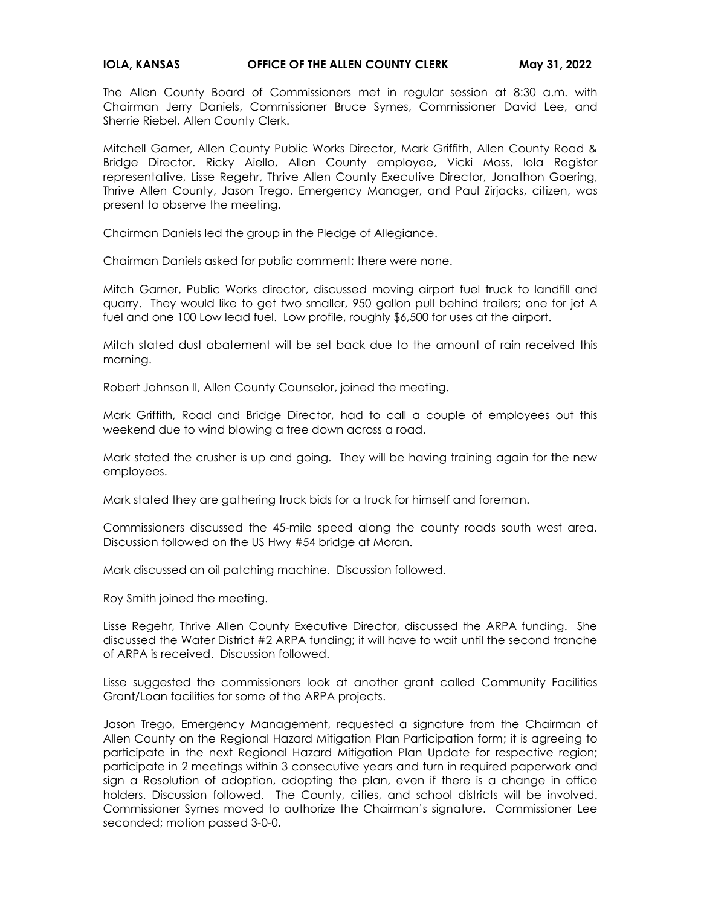## **IOLA, KANSAS CHECE OF THE ALLEN COUNTY CLERK May 31, 2022**

The Allen County Board of Commissioners met in regular session at 8:30 a.m. with Chairman Jerry Daniels, Commissioner Bruce Symes, Commissioner David Lee, and Sherrie Riebel, Allen County Clerk.

Mitchell Garner, Allen County Public Works Director, Mark Griffith, Allen County Road & Bridge Director. Ricky Aiello, Allen County employee, Vicki Moss, Iola Register representative, Lisse Regehr, Thrive Allen County Executive Director, Jonathon Goering, Thrive Allen County, Jason Trego, Emergency Manager, and Paul Zirjacks, citizen, was present to observe the meeting.

Chairman Daniels led the group in the Pledge of Allegiance.

Chairman Daniels asked for public comment; there were none.

Mitch Garner, Public Works director, discussed moving airport fuel truck to landfill and quarry. They would like to get two smaller, 950 gallon pull behind trailers; one for jet A fuel and one 100 Low lead fuel. Low profile, roughly \$6,500 for uses at the airport.

Mitch stated dust abatement will be set back due to the amount of rain received this morning.

Robert Johnson II, Allen County Counselor, joined the meeting.

Mark Griffith, Road and Bridge Director, had to call a couple of employees out this weekend due to wind blowing a tree down across a road.

Mark stated the crusher is up and going. They will be having training again for the new employees.

Mark stated they are gathering truck bids for a truck for himself and foreman.

Commissioners discussed the 45-mile speed along the county roads south west area. Discussion followed on the US Hwy #54 bridge at Moran.

Mark discussed an oil patching machine. Discussion followed.

Roy Smith joined the meeting.

Lisse Regehr, Thrive Allen County Executive Director, discussed the ARPA funding. She discussed the Water District #2 ARPA funding; it will have to wait until the second tranche of ARPA is received. Discussion followed.

Lisse suggested the commissioners look at another grant called Community Facilities Grant/Loan facilities for some of the ARPA projects.

Jason Trego, Emergency Management, requested a signature from the Chairman of Allen County on the Regional Hazard Mitigation Plan Participation form; it is agreeing to participate in the next Regional Hazard Mitigation Plan Update for respective region; participate in 2 meetings within 3 consecutive years and turn in required paperwork and sign a Resolution of adoption, adopting the plan, even if there is a change in office holders. Discussion followed. The County, cities, and school districts will be involved. Commissioner Symes moved to authorize the Chairman's signature. Commissioner Lee seconded; motion passed 3-0-0.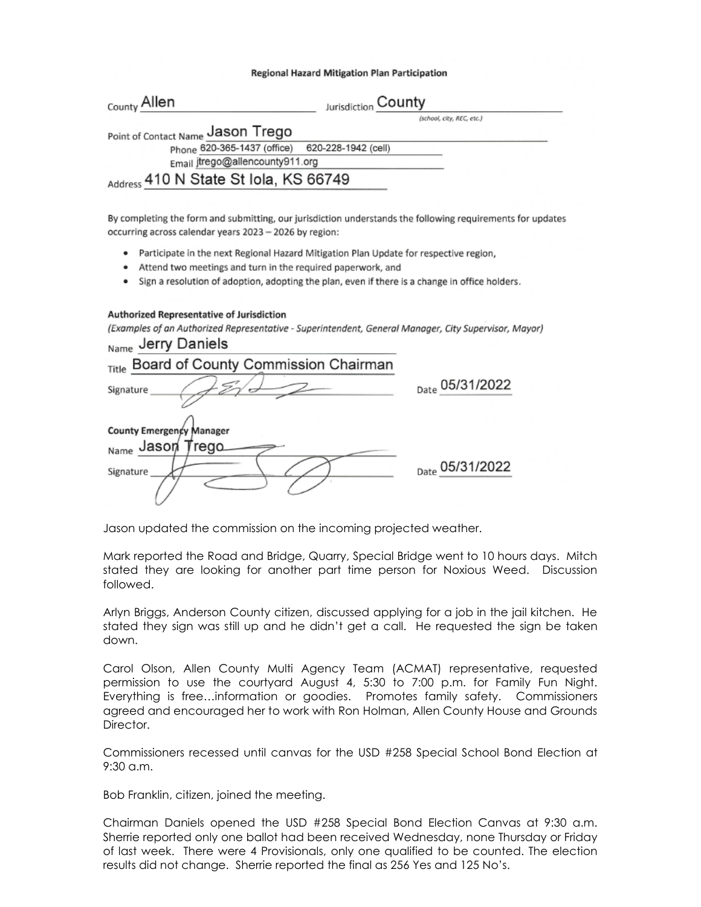## Regional Hazard Mitigation Plan Participation

| <sub>County</sub> Allen                         | Jurisdiction County |                           |
|-------------------------------------------------|---------------------|---------------------------|
|                                                 |                     | (school, city, REC, etc.) |
| Point of Contact Name Jason Trego               |                     |                           |
| Phone 620-365-1437 (office) 620-228-1942 (cell) |                     |                           |
| Email jtrego@allencounty911.org                 |                     |                           |
| Address 410 N State St Iola, KS 66749           |                     |                           |

By completing the form and submitting, our jurisdiction understands the following requirements for updates occurring across calendar years 2023 - 2026 by region:

- . Participate in the next Regional Hazard Mitigation Plan Update for respective region,
- Attend two meetings and turn in the required paperwork, and
- Sign a resolution of adoption, adopting the plan, even if there is a change in office holders.

## Authorized Representative of Jurisdiction

(Examples of an Authorized Representative - Superintendent, General Manager, City Supervisor, Mayor) larry Daniele

| Name<br>JULY DAILICIS                           |                 |
|-------------------------------------------------|-----------------|
| Board of County Commission Chairman<br>Title    |                 |
| Signature                                       | Date 05/31/2022 |
| County Emergency Manager<br>Name Jason<br>rego. |                 |
| Signature                                       | Date 05/31/2022 |

Jason updated the commission on the incoming projected weather.

Mark reported the Road and Bridge, Quarry, Special Bridge went to 10 hours days. Mitch stated they are looking for another part time person for Noxious Weed. Discussion followed.

Arlyn Briggs, Anderson County citizen, discussed applying for a job in the jail kitchen. He stated they sign was still up and he didn't get a call. He requested the sign be taken down.

Carol Olson, Allen County Multi Agency Team (ACMAT) representative, requested permission to use the courtyard August 4, 5:30 to 7:00 p.m. for Family Fun Night. Everything is free…information or goodies. Promotes family safety. Commissioners agreed and encouraged her to work with Ron Holman, Allen County House and Grounds Director.

Commissioners recessed until canvas for the USD #258 Special School Bond Election at 9:30 a.m.

Bob Franklin, citizen, joined the meeting.

Chairman Daniels opened the USD #258 Special Bond Election Canvas at 9:30 a.m. Sherrie reported only one ballot had been received Wednesday, none Thursday or Friday of last week. There were 4 Provisionals, only one qualified to be counted. The election results did not change. Sherrie reported the final as 256 Yes and 125 No's.